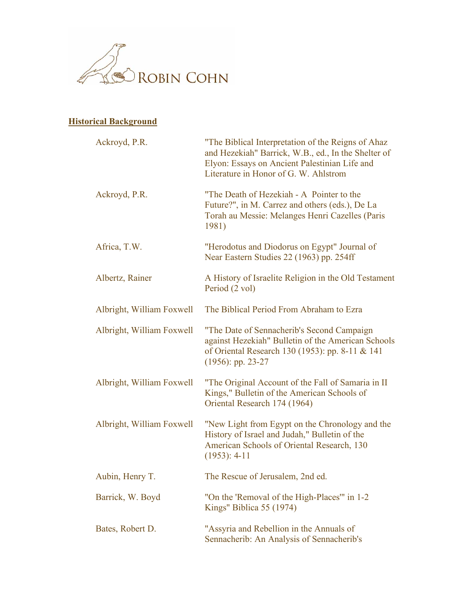

## **Historical Background**

| Ackroyd, P.R.             | "The Biblical Interpretation of the Reigns of Ahaz"<br>and Hezekiah" Barrick, W.B., ed., In the Shelter of<br>Elyon: Essays on Ancient Palestinian Life and<br>Literature in Honor of G. W. Ahlstrom |
|---------------------------|------------------------------------------------------------------------------------------------------------------------------------------------------------------------------------------------------|
| Ackroyd, P.R.             | "The Death of Hezekiah - A Pointer to the<br>Future?", in M. Carrez and others (eds.), De La<br>Torah au Messie: Melanges Henri Cazelles (Paris<br>1981)                                             |
| Africa, T.W.              | "Herodotus and Diodorus on Egypt" Journal of<br>Near Eastern Studies 22 (1963) pp. 254ff                                                                                                             |
| Albertz, Rainer           | A History of Israelite Religion in the Old Testament<br>Period (2 vol)                                                                                                                               |
| Albright, William Foxwell | The Biblical Period From Abraham to Ezra                                                                                                                                                             |
| Albright, William Foxwell | "The Date of Sennacherib's Second Campaign<br>against Hezekiah" Bulletin of the American Schools<br>of Oriental Research 130 (1953): pp. 8-11 & 141<br>$(1956)$ : pp. 23-27                          |
| Albright, William Foxwell | "The Original Account of the Fall of Samaria in II<br>Kings," Bulletin of the American Schools of<br>Oriental Research 174 (1964)                                                                    |
| Albright, William Foxwell | "New Light from Egypt on the Chronology and the<br>History of Israel and Judah," Bulletin of the<br>American Schools of Oriental Research, 130<br>$(1953): 4-11$                                     |
| Aubin, Henry T.           | The Rescue of Jerusalem, 2nd ed.                                                                                                                                                                     |
| Barrick, W. Boyd          | "On the 'Removal of the High-Places'" in 1-2<br>Kings" Biblica 55 (1974)                                                                                                                             |
| Bates, Robert D.          | "Assyria and Rebellion in the Annuals of<br>Sennacherib: An Analysis of Sennacherib's                                                                                                                |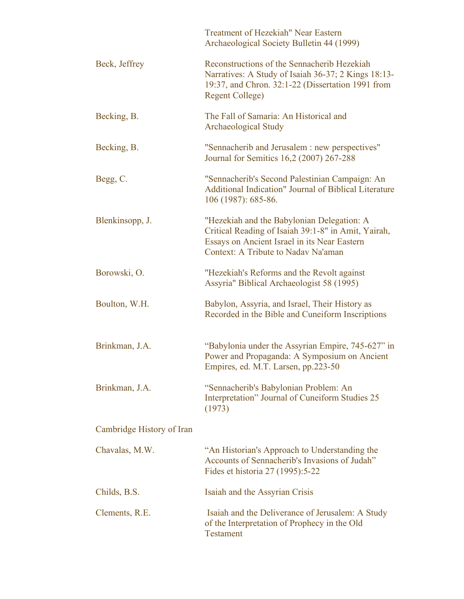|                           | Treatment of Hezekiah" Near Eastern<br>Archaeological Society Bulletin 44 (1999)                                                                                                         |
|---------------------------|------------------------------------------------------------------------------------------------------------------------------------------------------------------------------------------|
| Beck, Jeffrey             | Reconstructions of the Sennacherib Hezekiah<br>Narratives: A Study of Isaiah 36-37; 2 Kings 18:13-<br>19:37, and Chron. 32:1-22 (Dissertation 1991 from<br><b>Regent College)</b>        |
| Becking, B.               | The Fall of Samaria: An Historical and<br><b>Archaeological Study</b>                                                                                                                    |
| Becking, B.               | "Sennacherib and Jerusalem : new perspectives"<br>Journal for Semitics 16,2 (2007) 267-288                                                                                               |
| Begg, C.                  | "Sennacherib's Second Palestinian Campaign: An<br><b>Additional Indication" Journal of Biblical Literature</b><br>106 (1987): 685-86.                                                    |
| Blenkinsopp, J.           | "Hezekiah and the Babylonian Delegation: A<br>Critical Reading of Isaiah 39:1-8" in Amit, Yairah,<br>Essays on Ancient Israel in its Near Eastern<br>Context: A Tribute to Nadav Na'aman |
| Borowski, O.              | "Hezekiah's Reforms and the Revolt against<br>Assyria" Biblical Archaeologist 58 (1995)                                                                                                  |
| Boulton, W.H.             | Babylon, Assyria, and Israel, Their History as<br>Recorded in the Bible and Cuneiform Inscriptions                                                                                       |
| Brinkman, J.A.            | "Babylonia under the Assyrian Empire, 745-627" in<br>Power and Propaganda: A Symposium on Ancient<br>Empires, ed. M.T. Larsen, pp.223-50                                                 |
| Brinkman, J.A.            | "Sennacherib's Babylonian Problem: An<br>Interpretation" Journal of Cuneiform Studies 25<br>(1973)                                                                                       |
| Cambridge History of Iran |                                                                                                                                                                                          |
| Chavalas, M.W.            | "An Historian's Approach to Understanding the<br>Accounts of Sennacherib's Invasions of Judah"<br>Fides et historia 27 (1995):5-22                                                       |
| Childs, B.S.              | Isaiah and the Assyrian Crisis                                                                                                                                                           |
| Clements, R.E.            | Isaiah and the Deliverance of Jerusalem: A Study<br>of the Interpretation of Prophecy in the Old<br><b>Testament</b>                                                                     |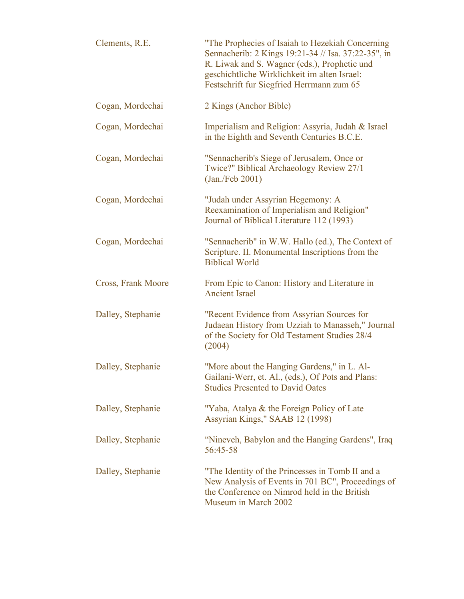| Clements, R.E.     | "The Prophecies of Isaiah to Hezekiah Concerning<br>Sennacherib: 2 Kings 19:21-34 // Isa. 37:22-35", in<br>R. Liwak and S. Wagner (eds.), Prophetie und<br>geschichtliche Wirklichkeit im alten Israel:<br>Festschrift fur Siegfried Herrmann zum 65 |
|--------------------|------------------------------------------------------------------------------------------------------------------------------------------------------------------------------------------------------------------------------------------------------|
| Cogan, Mordechai   | 2 Kings (Anchor Bible)                                                                                                                                                                                                                               |
| Cogan, Mordechai   | Imperialism and Religion: Assyria, Judah & Israel<br>in the Eighth and Seventh Centuries B.C.E.                                                                                                                                                      |
| Cogan, Mordechai   | "Sennacherib's Siege of Jerusalem, Once or<br>Twice?" Biblical Archaeology Review 27/1<br>$(Jan$ ./Feb 2001)                                                                                                                                         |
| Cogan, Mordechai   | "Judah under Assyrian Hegemony: A<br>Reexamination of Imperialism and Religion"<br>Journal of Biblical Literature 112 (1993)                                                                                                                         |
| Cogan, Mordechai   | "Sennacherib" in W.W. Hallo (ed.), The Context of<br>Scripture. II. Monumental Inscriptions from the<br><b>Biblical World</b>                                                                                                                        |
| Cross, Frank Moore | From Epic to Canon: History and Literature in<br><b>Ancient Israel</b>                                                                                                                                                                               |
| Dalley, Stephanie  | "Recent Evidence from Assyrian Sources for<br>Judaean History from Uzziah to Manasseh," Journal<br>of the Society for Old Testament Studies 28/4<br>(2004)                                                                                           |
| Dalley, Stephanie  | "More about the Hanging Gardens," in L. Al-<br>Gailani-Werr, et. Al., (eds.), Of Pots and Plans:<br><b>Studies Presented to David Oates</b>                                                                                                          |
| Dalley, Stephanie  | "Yaba, Atalya & the Foreign Policy of Late<br>Assyrian Kings," SAAB 12 (1998)                                                                                                                                                                        |
| Dalley, Stephanie  | "Nineveh, Babylon and the Hanging Gardens", Iraq<br>56:45-58                                                                                                                                                                                         |
| Dalley, Stephanie  | "The Identity of the Princesses in Tomb II and a<br>New Analysis of Events in 701 BC", Proceedings of<br>the Conference on Nimrod held in the British<br>Museum in March 2002                                                                        |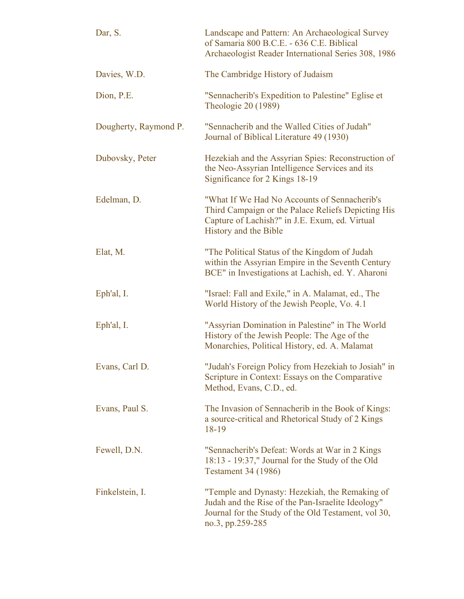| Dar, S.               | Landscape and Pattern: An Archaeological Survey<br>of Samaria 800 B.C.E. - 636 C.E. Biblical<br>Archaeologist Reader International Series 308, 1986                            |
|-----------------------|--------------------------------------------------------------------------------------------------------------------------------------------------------------------------------|
| Davies, W.D.          | The Cambridge History of Judaism                                                                                                                                               |
| Dion, P.E.            | "Sennacherib's Expedition to Palestine" Eglise et<br>Theologie 20 (1989)                                                                                                       |
| Dougherty, Raymond P. | "Sennacherib and the Walled Cities of Judah"<br>Journal of Biblical Literature 49 (1930)                                                                                       |
| Dubovsky, Peter       | Hezekiah and the Assyrian Spies: Reconstruction of<br>the Neo-Assyrian Intelligence Services and its<br>Significance for 2 Kings 18-19                                         |
| Edelman, D.           | "What If We Had No Accounts of Sennacherib's<br>Third Campaign or the Palace Reliefs Depicting His<br>Capture of Lachish?" in J.E. Exum, ed. Virtual<br>History and the Bible  |
| Elat, M.              | "The Political Status of the Kingdom of Judah<br>within the Assyrian Empire in the Seventh Century<br>BCE" in Investigations at Lachish, ed. Y. Aharoni                        |
| Eph'al, I.            | "Israel: Fall and Exile," in A. Malamat, ed., The<br>World History of the Jewish People, Vo. 4.1                                                                               |
| Eph'al, I.            | "Assyrian Domination in Palestine" in The World<br>History of the Jewish People: The Age of the<br>Monarchies, Political History, ed. A. Malamat                               |
| Evans, Carl D.        | "Judah's Foreign Policy from Hezekiah to Josiah" in<br>Scripture in Context: Essays on the Comparative<br>Method, Evans, C.D., ed.                                             |
| Evans, Paul S.        | The Invasion of Sennacherib in the Book of Kings:<br>a source-critical and Rhetorical Study of 2 Kings<br>18-19                                                                |
| Fewell, D.N.          | "Sennacherib's Defeat: Words at War in 2 Kings<br>18:13 - 19:37," Journal for the Study of the Old<br><b>Testament 34 (1986)</b>                                               |
| Finkelstein, I.       | "Temple and Dynasty: Hezekiah, the Remaking of<br>Judah and the Rise of the Pan-Israelite Ideology"<br>Journal for the Study of the Old Testament, vol 30,<br>no.3, pp.259-285 |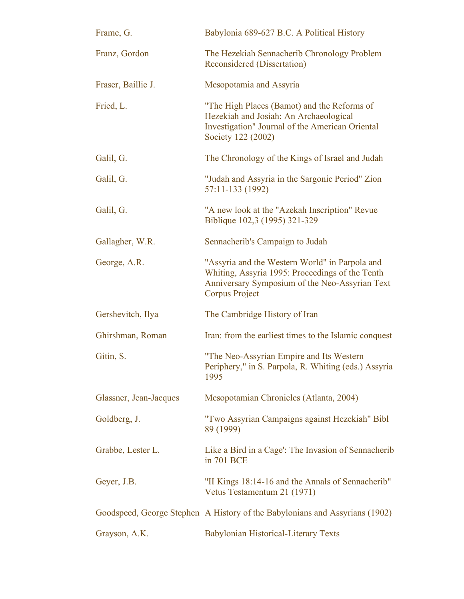| Frame, G.              | Babylonia 689-627 B.C. A Political History                                                                                                                            |
|------------------------|-----------------------------------------------------------------------------------------------------------------------------------------------------------------------|
| Franz, Gordon          | The Hezekiah Sennacherib Chronology Problem<br><b>Reconsidered (Dissertation)</b>                                                                                     |
| Fraser, Baillie J.     | Mesopotamia and Assyria                                                                                                                                               |
| Fried, L.              | "The High Places (Bamot) and the Reforms of<br>Hezekiah and Josiah: An Archaeological<br>Investigation" Journal of the American Oriental<br>Society 122 (2002)        |
| Galil, G.              | The Chronology of the Kings of Israel and Judah                                                                                                                       |
| Galil, G.              | "Judah and Assyria in the Sargonic Period" Zion<br>57:11-133 (1992)                                                                                                   |
| Galil, G.              | "A new look at the "Azekah Inscription" Revue<br>Biblique 102,3 (1995) 321-329                                                                                        |
| Gallagher, W.R.        | Sennacherib's Campaign to Judah                                                                                                                                       |
| George, A.R.           | "Assyria and the Western World" in Parpola and<br>Whiting, Assyria 1995: Proceedings of the Tenth<br>Anniversary Symposium of the Neo-Assyrian Text<br>Corpus Project |
| Gershevitch, Ilya      | The Cambridge History of Iran                                                                                                                                         |
| Ghirshman, Roman       | Iran: from the earliest times to the Islamic conquest                                                                                                                 |
| Gitin, S.              | "The Neo-Assyrian Empire and Its Western<br>Periphery," in S. Parpola, R. Whiting (eds.) Assyria<br>1995                                                              |
| Glassner, Jean-Jacques | Mesopotamian Chronicles (Atlanta, 2004)                                                                                                                               |
| Goldberg, J.           | "Two Assyrian Campaigns against Hezekiah" Bibl<br>89 (1999)                                                                                                           |
| Grabbe, Lester L.      | Like a Bird in a Cage': The Invasion of Sennacherib<br>in 701 BCE                                                                                                     |
| Geyer, J.B.            | "II Kings 18:14-16 and the Annals of Sennacherib"<br>Vetus Testamentum 21 (1971)                                                                                      |
|                        | Goodspeed, George Stephen A History of the Babylonians and Assyrians (1902)                                                                                           |
| Grayson, A.K.          | Babylonian Historical-Literary Texts                                                                                                                                  |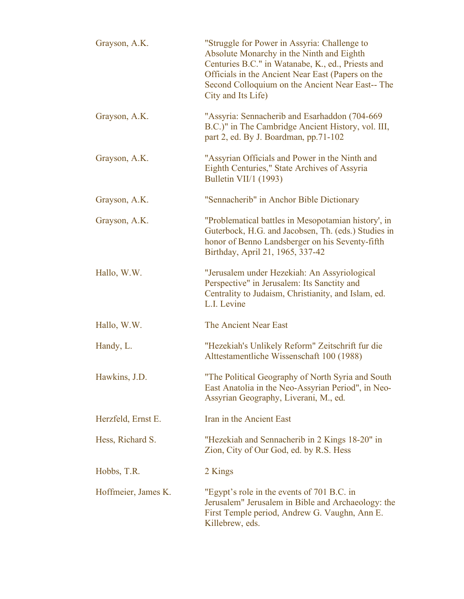| Grayson, A.K.       | "Struggle for Power in Assyria: Challenge to<br>Absolute Monarchy in the Ninth and Eighth<br>Centuries B.C." in Watanabe, K., ed., Priests and<br>Officials in the Ancient Near East (Papers on the<br>Second Colloquium on the Ancient Near East-- The<br>City and Its Life) |
|---------------------|-------------------------------------------------------------------------------------------------------------------------------------------------------------------------------------------------------------------------------------------------------------------------------|
| Grayson, A.K.       | "Assyria: Sennacherib and Esarhaddon (704-669)<br>B.C.)" in The Cambridge Ancient History, vol. III,<br>part 2, ed. By J. Boardman, pp.71-102                                                                                                                                 |
| Grayson, A.K.       | "Assyrian Officials and Power in the Ninth and<br>Eighth Centuries," State Archives of Assyria<br><b>Bulletin VII/1 (1993)</b>                                                                                                                                                |
| Grayson, A.K.       | "Sennacherib" in Anchor Bible Dictionary                                                                                                                                                                                                                                      |
| Grayson, A.K.       | "Problematical battles in Mesopotamian history', in<br>Guterbock, H.G. and Jacobsen, Th. (eds.) Studies in<br>honor of Benno Landsberger on his Seventy-fifth<br>Birthday, April 21, 1965, 337-42                                                                             |
| Hallo, W.W.         | "Jerusalem under Hezekiah: An Assyriological<br>Perspective" in Jerusalem: Its Sanctity and<br>Centrality to Judaism, Christianity, and Islam, ed.<br>L.I. Levine                                                                                                             |
| Hallo, W.W.         | The Ancient Near East                                                                                                                                                                                                                                                         |
| Handy, L.           | "Hezekiah's Unlikely Reform" Zeitschrift fur die<br>Alttestamentliche Wissenschaft 100 (1988)                                                                                                                                                                                 |
| Hawkins, J.D.       | "The Political Geography of North Syria and South<br>East Anatolia in the Neo-Assyrian Period", in Neo-<br>Assyrian Geography, Liverani, M., ed.                                                                                                                              |
| Herzfeld, Ernst E.  | Iran in the Ancient East                                                                                                                                                                                                                                                      |
| Hess, Richard S.    | "Hezekiah and Sennacherib in 2 Kings 18-20" in<br>Zion, City of Our God, ed. by R.S. Hess                                                                                                                                                                                     |
| Hobbs, T.R.         | 2 Kings                                                                                                                                                                                                                                                                       |
| Hoffmeier, James K. | "Egypt's role in the events of 701 B.C. in<br>Jerusalem" Jerusalem in Bible and Archaeology: the<br>First Temple period, Andrew G. Vaughn, Ann E.<br>Killebrew, eds.                                                                                                          |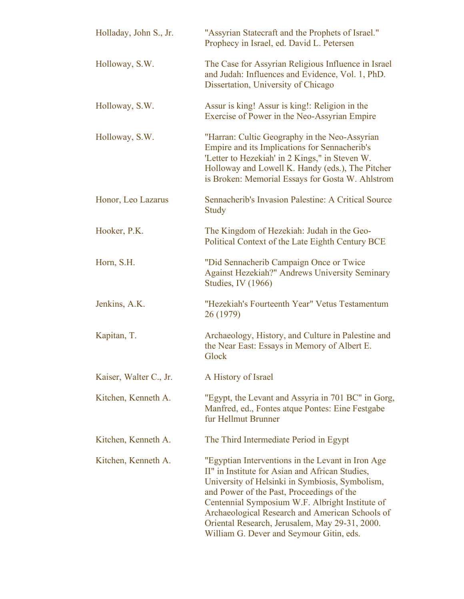| Holladay, John S., Jr. | "Assyrian Statecraft and the Prophets of Israel."<br>Prophecy in Israel, ed. David L. Petersen                                                                                                                                                                                                                                                                                                           |
|------------------------|----------------------------------------------------------------------------------------------------------------------------------------------------------------------------------------------------------------------------------------------------------------------------------------------------------------------------------------------------------------------------------------------------------|
| Holloway, S.W.         | The Case for Assyrian Religious Influence in Israel<br>and Judah: Influences and Evidence, Vol. 1, PhD.<br>Dissertation, University of Chicago                                                                                                                                                                                                                                                           |
| Holloway, S.W.         | Assur is king! Assur is king!: Religion in the<br>Exercise of Power in the Neo-Assyrian Empire                                                                                                                                                                                                                                                                                                           |
| Holloway, S.W.         | "Harran: Cultic Geography in the Neo-Assyrian<br>Empire and its Implications for Sennacherib's<br>'Letter to Hezekiah' in 2 Kings," in Steven W.<br>Holloway and Lowell K. Handy (eds.), The Pitcher<br>is Broken: Memorial Essays for Gosta W. Ahlstrom                                                                                                                                                 |
| Honor, Leo Lazarus     | Sennacherib's Invasion Palestine: A Critical Source<br><b>Study</b>                                                                                                                                                                                                                                                                                                                                      |
| Hooker, P.K.           | The Kingdom of Hezekiah: Judah in the Geo-<br>Political Context of the Late Eighth Century BCE                                                                                                                                                                                                                                                                                                           |
| Horn, S.H.             | "Did Sennacherib Campaign Once or Twice<br><b>Against Hezekiah?" Andrews University Seminary</b><br><b>Studies, IV (1966)</b>                                                                                                                                                                                                                                                                            |
| Jenkins, A.K.          | "Hezekiah's Fourteenth Year" Vetus Testamentum<br>26 (1979)                                                                                                                                                                                                                                                                                                                                              |
| Kapitan, T.            | Archaeology, History, and Culture in Palestine and<br>the Near East: Essays in Memory of Albert E.<br>Glock                                                                                                                                                                                                                                                                                              |
| Kaiser, Walter C., Jr. | A History of Israel                                                                                                                                                                                                                                                                                                                                                                                      |
| Kitchen, Kenneth A.    | "Egypt, the Levant and Assyria in 701 BC" in Gorg,<br>Manfred, ed., Fontes atque Pontes: Eine Festgabe<br>fur Hellmut Brunner                                                                                                                                                                                                                                                                            |
| Kitchen, Kenneth A.    | The Third Intermediate Period in Egypt                                                                                                                                                                                                                                                                                                                                                                   |
| Kitchen, Kenneth A.    | "Egyptian Interventions in the Levant in Iron Age<br>II" in Institute for Asian and African Studies,<br>University of Helsinki in Symbiosis, Symbolism,<br>and Power of the Past, Proceedings of the<br>Centennial Symposium W.F. Albright Institute of<br>Archaeological Research and American Schools of<br>Oriental Research, Jerusalem, May 29-31, 2000.<br>William G. Dever and Seymour Gitin, eds. |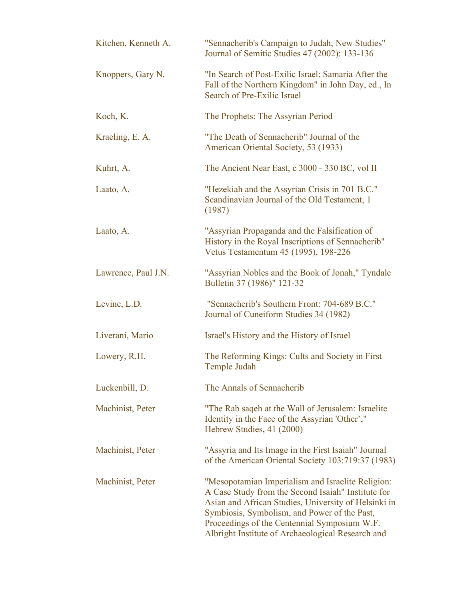| Kitchen, Kenneth A. | "Sennacherib's Campaign to Judah, New Studies"<br>Journal of Semitic Studies 47 (2002): 133-136                                                                                                                                                                                                                      |
|---------------------|----------------------------------------------------------------------------------------------------------------------------------------------------------------------------------------------------------------------------------------------------------------------------------------------------------------------|
| Knoppers, Gary N.   | "In Search of Post-Exilic Israel: Samaria After the<br>Fall of the Northern Kingdom" in John Day, ed., In<br>Search of Pre-Exilic Israel                                                                                                                                                                             |
| Koch, K.            | The Prophets: The Assyrian Period                                                                                                                                                                                                                                                                                    |
| Kraeling, E. A.     | "The Death of Sennacherib" Journal of the<br>American Oriental Society, 53 (1933)                                                                                                                                                                                                                                    |
| Kuhrt, A.           | The Ancient Near East, c 3000 - 330 BC, vol II                                                                                                                                                                                                                                                                       |
| Laato, A.           | "Hezekiah and the Assyrian Crisis in 701 B.C."<br>Scandinavian Journal of the Old Testament, 1<br>(1987)                                                                                                                                                                                                             |
| Laato, A.           | "Assyrian Propaganda and the Falsification of<br>History in the Royal Inscriptions of Sennacherib"<br>Vetus Testamentum 45 (1995), 198-226                                                                                                                                                                           |
| Lawrence, Paul J.N. | "Assyrian Nobles and the Book of Jonah," Tyndale<br>Bulletin 37 (1986)" 121-32                                                                                                                                                                                                                                       |
| Levine, L.D.        | "Sennacherib's Southern Front: 704-689 B.C."<br>Journal of Cuneiform Studies 34 (1982)                                                                                                                                                                                                                               |
| Liverani, Mario     | Israel's History and the History of Israel                                                                                                                                                                                                                                                                           |
| Lowery, R.H.        | The Reforming Kings: Cults and Society in First<br>Temple Judah                                                                                                                                                                                                                                                      |
| Luckenbill, D.      | The Annals of Sennacherib                                                                                                                                                                                                                                                                                            |
| Machinist, Peter    | "The Rab saqeh at the Wall of Jerusalem: Israelite<br>Identity in the Face of the Assyrian 'Other',"<br>Hebrew Studies, 41 (2000)                                                                                                                                                                                    |
| Machinist, Peter    | "Assyria and Its Image in the First Isaiah" Journal<br>of the American Oriental Society 103:719:37 (1983)                                                                                                                                                                                                            |
| Machinist, Peter    | "Mesopotamian Imperialism and Israelite Religion:<br>A Case Study from the Second Isaiah" Institute for<br>Asian and African Studies, University of Helsinki in<br>Symbiosis, Symbolism, and Power of the Past,<br>Proceedings of the Centennial Symposium W.F.<br>Albright Institute of Archaeological Research and |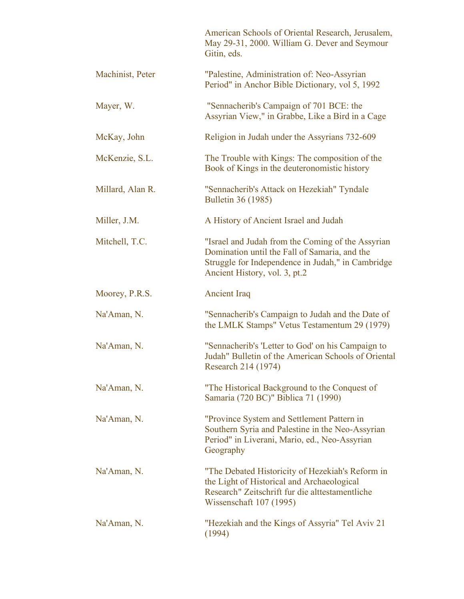|                  | American Schools of Oriental Research, Jerusalem,<br>May 29-31, 2000. William G. Dever and Seymour<br>Gitin, eds.                                                                        |
|------------------|------------------------------------------------------------------------------------------------------------------------------------------------------------------------------------------|
| Machinist, Peter | "Palestine, Administration of: Neo-Assyrian<br>Period" in Anchor Bible Dictionary, vol 5, 1992                                                                                           |
| Mayer, W.        | "Sennacherib's Campaign of 701 BCE: the<br>Assyrian View," in Grabbe, Like a Bird in a Cage                                                                                              |
| McKay, John      | Religion in Judah under the Assyrians 732-609                                                                                                                                            |
| McKenzie, S.L.   | The Trouble with Kings: The composition of the<br>Book of Kings in the deuteronomistic history                                                                                           |
| Millard, Alan R. | "Sennacherib's Attack on Hezekiah" Tyndale<br><b>Bulletin 36 (1985)</b>                                                                                                                  |
| Miller, J.M.     | A History of Ancient Israel and Judah                                                                                                                                                    |
| Mitchell, T.C.   | "Israel and Judah from the Coming of the Assyrian<br>Domination until the Fall of Samaria, and the<br>Struggle for Independence in Judah," in Cambridge<br>Ancient History, vol. 3, pt.2 |
| Moorey, P.R.S.   | <b>Ancient Iraq</b>                                                                                                                                                                      |
| Na'Aman, N.      | "Sennacherib's Campaign to Judah and the Date of<br>the LMLK Stamps" Vetus Testamentum 29 (1979)                                                                                         |
| Na'Aman, N.      | "Sennacherib's 'Letter to God' on his Campaign to<br>Judah" Bulletin of the American Schools of Oriental<br>Research 214 (1974)                                                          |
| Na'Aman, N.      | "The Historical Background to the Conquest of<br>Samaria (720 BC)" Biblica 71 (1990)                                                                                                     |
| Na'Aman, N.      | "Province System and Settlement Pattern in<br>Southern Syria and Palestine in the Neo-Assyrian<br>Period" in Liverani, Mario, ed., Neo-Assyrian<br>Geography                             |
| Na'Aman, N.      | "The Debated Historicity of Hezekiah's Reform in<br>the Light of Historical and Archaeological<br>Research" Zeitschrift fur die alttestamentliche<br>Wissenschaft 107 (1995)             |
| Na'Aman, N.      | "Hezekiah and the Kings of Assyria" Tel Aviv 21<br>(1994)                                                                                                                                |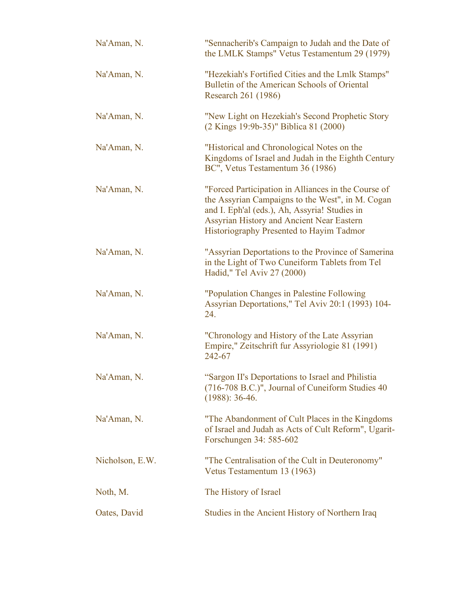| Na'Aman, N.     | "Sennacherib's Campaign to Judah and the Date of<br>the LMLK Stamps" Vetus Testamentum 29 (1979)                                                                                                                                                  |
|-----------------|---------------------------------------------------------------------------------------------------------------------------------------------------------------------------------------------------------------------------------------------------|
| Na'Aman, N.     | "Hezekiah's Fortified Cities and the Lmlk Stamps"<br>Bulletin of the American Schools of Oriental<br>Research 261 (1986)                                                                                                                          |
| Na'Aman, N.     | "New Light on Hezekiah's Second Prophetic Story<br>(2 Kings 19:9b-35)" Biblica 81 (2000)                                                                                                                                                          |
| Na'Aman, N.     | "Historical and Chronological Notes on the<br>Kingdoms of Israel and Judah in the Eighth Century<br>BC", Vetus Testamentum 36 (1986)                                                                                                              |
| Na'Aman, N.     | "Forced Participation in Alliances in the Course of<br>the Assyrian Campaigns to the West", in M. Cogan<br>and I. Eph'al (eds.), Ah, Assyria! Studies in<br>Assyrian History and Ancient Near Eastern<br>Historiography Presented to Hayim Tadmor |
| Na'Aman, N.     | "Assyrian Deportations to the Province of Samerina<br>in the Light of Two Cuneiform Tablets from Tel<br>Hadid," Tel Aviv 27 (2000)                                                                                                                |
| Na'Aman, N.     | "Population Changes in Palestine Following<br>Assyrian Deportations," Tel Aviv 20:1 (1993) 104-<br>24.                                                                                                                                            |
| Na'Aman, N.     | "Chronology and History of the Late Assyrian<br>Empire," Zeitschrift fur Assyriologie 81 (1991)<br>242-67                                                                                                                                         |
| Na'Aman, N.     | "Sargon II's Deportations to Israel and Philistia<br>(716-708 B.C.)", Journal of Cuneiform Studies 40<br>$(1988): 36-46.$                                                                                                                         |
| Na'Aman, N.     | "The Abandonment of Cult Places in the Kingdoms"<br>of Israel and Judah as Acts of Cult Reform", Ugarit-<br>Forschungen 34: 585-602                                                                                                               |
| Nicholson, E.W. | "The Centralisation of the Cult in Deuteronomy"<br>Vetus Testamentum 13 (1963)                                                                                                                                                                    |
| Noth, M.        | The History of Israel                                                                                                                                                                                                                             |
| Oates, David    | Studies in the Ancient History of Northern Iraq                                                                                                                                                                                                   |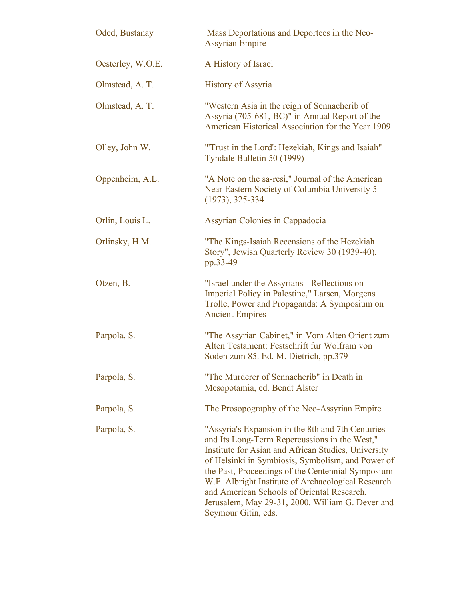| Oded, Bustanay    | Mass Deportations and Deportees in the Neo-<br><b>Assyrian Empire</b>                                                                                                                                                                                                                                                                                                                                                                              |
|-------------------|----------------------------------------------------------------------------------------------------------------------------------------------------------------------------------------------------------------------------------------------------------------------------------------------------------------------------------------------------------------------------------------------------------------------------------------------------|
| Oesterley, W.O.E. | A History of Israel                                                                                                                                                                                                                                                                                                                                                                                                                                |
| Olmstead, A. T.   | <b>History of Assyria</b>                                                                                                                                                                                                                                                                                                                                                                                                                          |
| Olmstead, A. T.   | "Western Asia in the reign of Sennacherib of<br>Assyria (705-681, BC)" in Annual Report of the<br>American Historical Association for the Year 1909                                                                                                                                                                                                                                                                                                |
| Olley, John W.    | "Trust in the Lord': Hezekiah, Kings and Isaiah"<br>Tyndale Bulletin 50 (1999)                                                                                                                                                                                                                                                                                                                                                                     |
| Oppenheim, A.L.   | "A Note on the sa-resi," Journal of the American<br>Near Eastern Society of Columbia University 5<br>$(1973), 325-334$                                                                                                                                                                                                                                                                                                                             |
| Orlin, Louis L.   | <b>Assyrian Colonies in Cappadocia</b>                                                                                                                                                                                                                                                                                                                                                                                                             |
| Orlinsky, H.M.    | "The Kings-Isaiah Recensions of the Hezekiah<br>Story", Jewish Quarterly Review 30 (1939-40),<br>pp.33-49                                                                                                                                                                                                                                                                                                                                          |
| Otzen, B.         | "Israel under the Assyrians - Reflections on<br>Imperial Policy in Palestine," Larsen, Morgens<br>Trolle, Power and Propaganda: A Symposium on<br><b>Ancient Empires</b>                                                                                                                                                                                                                                                                           |
| Parpola, S.       | "The Assyrian Cabinet," in Vom Alten Orient zum<br>Alten Testament: Festschrift fur Wolfram von<br>Soden zum 85. Ed. M. Dietrich, pp.379                                                                                                                                                                                                                                                                                                           |
| Parpola, S.       | "The Murderer of Sennacherib" in Death in<br>Mesopotamia, ed. Bendt Alster                                                                                                                                                                                                                                                                                                                                                                         |
| Parpola, S.       | The Prosopography of the Neo-Assyrian Empire                                                                                                                                                                                                                                                                                                                                                                                                       |
| Parpola, S.       | "Assyria's Expansion in the 8th and 7th Centuries<br>and Its Long-Term Repercussions in the West,"<br>Institute for Asian and African Studies, University<br>of Helsinki in Symbiosis, Symbolism, and Power of<br>the Past, Proceedings of the Centennial Symposium<br>W.F. Albright Institute of Archaeological Research<br>and American Schools of Oriental Research,<br>Jerusalem, May 29-31, 2000. William G. Dever and<br>Seymour Gitin, eds. |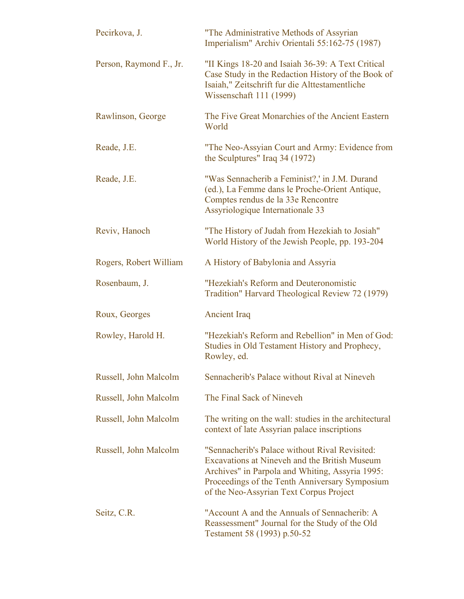| Pecirkova, J.           | "The Administrative Methods of Assyrian<br>Imperialism" Archiv Orientali 55:162-75 (1987)                                                                                                                                                       |
|-------------------------|-------------------------------------------------------------------------------------------------------------------------------------------------------------------------------------------------------------------------------------------------|
| Person, Raymond F., Jr. | "II Kings 18-20 and Isaiah 36-39: A Text Critical<br>Case Study in the Redaction History of the Book of<br>Isaiah," Zeitschrift fur die Alttestamentliche<br>Wissenschaft 111 (1999)                                                            |
| Rawlinson, George       | The Five Great Monarchies of the Ancient Eastern<br>World                                                                                                                                                                                       |
| Reade, J.E.             | "The Neo-Assyian Court and Army: Evidence from<br>the Sculptures" Iraq 34 (1972)                                                                                                                                                                |
| Reade, J.E.             | "Was Sennacherib a Feminist?,' in J.M. Durand<br>(ed.), La Femme dans le Proche-Orient Antique,<br>Comptes rendus de la 33e Rencontre<br>Assyriologique Internationale 33                                                                       |
| Reviv, Hanoch           | "The History of Judah from Hezekiah to Josiah"<br>World History of the Jewish People, pp. 193-204                                                                                                                                               |
| Rogers, Robert William  | A History of Babylonia and Assyria                                                                                                                                                                                                              |
| Rosenbaum, J.           | "Hezekiah's Reform and Deuteronomistic<br>Tradition" Harvard Theological Review 72 (1979)                                                                                                                                                       |
| Roux, Georges           | <b>Ancient Iraq</b>                                                                                                                                                                                                                             |
| Rowley, Harold H.       | "Hezekiah's Reform and Rebellion" in Men of God:<br>Studies in Old Testament History and Prophecy,<br>Rowley, ed.                                                                                                                               |
| Russell, John Malcolm   | Sennacherib's Palace without Rival at Nineveh                                                                                                                                                                                                   |
| Russell, John Malcolm   | The Final Sack of Nineveh                                                                                                                                                                                                                       |
| Russell, John Malcolm   | The writing on the wall: studies in the architectural<br>context of late Assyrian palace inscriptions                                                                                                                                           |
| Russell, John Malcolm   | "Sennacherib's Palace without Rival Revisited:<br>Excavations at Nineveh and the British Museum<br>Archives" in Parpola and Whiting, Assyria 1995:<br>Proceedings of the Tenth Anniversary Symposium<br>of the Neo-Assyrian Text Corpus Project |
| Seitz, C.R.             | "Account A and the Annuals of Sennacherib: A<br>Reassessment" Journal for the Study of the Old<br>Testament 58 (1993) p.50-52                                                                                                                   |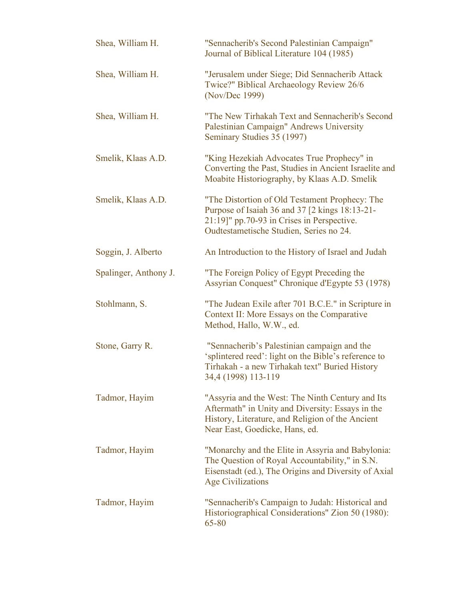| Shea, William H.      | "Sennacherib's Second Palestinian Campaign"<br>Journal of Biblical Literature 104 (1985)                                                                                                      |
|-----------------------|-----------------------------------------------------------------------------------------------------------------------------------------------------------------------------------------------|
| Shea, William H.      | "Jerusalem under Siege; Did Sennacherib Attack<br>Twice?" Biblical Archaeology Review 26/6<br>(Nov/Dec 1999)                                                                                  |
| Shea, William H.      | "The New Tirhakah Text and Sennacherib's Second<br>Palestinian Campaign" Andrews University<br>Seminary Studies 35 (1997)                                                                     |
| Smelik, Klaas A.D.    | "King Hezekiah Advocates True Prophecy" in<br>Converting the Past, Studies in Ancient Israelite and<br>Moabite Historiography, by Klaas A.D. Smelik                                           |
| Smelik, Klaas A.D.    | "The Distortion of Old Testament Prophecy: The<br>Purpose of Isaiah 36 and 37 [2 kings 18:13-21-<br>$21:19$ ]" pp. 70-93 in Crises in Perspective.<br>Oudtestametische Studien, Series no 24. |
| Soggin, J. Alberto    | An Introduction to the History of Israel and Judah                                                                                                                                            |
| Spalinger, Anthony J. | "The Foreign Policy of Egypt Preceding the<br>Assyrian Conquest" Chronique d'Egypte 53 (1978)                                                                                                 |
| Stohlmann, S.         | "The Judean Exile after 701 B.C.E." in Scripture in<br>Context II: More Essays on the Comparative<br>Method, Hallo, W.W., ed.                                                                 |
| Stone, Garry R.       | "Sennacherib's Palestinian campaign and the<br>'splintered reed': light on the Bible's reference to<br>Tirhakah - a new Tirhakah text" Buried History<br>34,4 (1998) 113-119                  |
| Tadmor, Hayim         | "Assyria and the West: The Ninth Century and Its<br>Aftermath" in Unity and Diversity: Essays in the<br>History, Literature, and Religion of the Ancient<br>Near East, Goedicke, Hans, ed.    |
| Tadmor, Hayim         | "Monarchy and the Elite in Assyria and Babylonia:<br>The Question of Royal Accountability," in S.N.<br>Eisenstadt (ed.), The Origins and Diversity of Axial<br><b>Age Civilizations</b>       |
| Tadmor, Hayim         | "Sennacherib's Campaign to Judah: Historical and<br>Historiographical Considerations" Zion 50 (1980):<br>65-80                                                                                |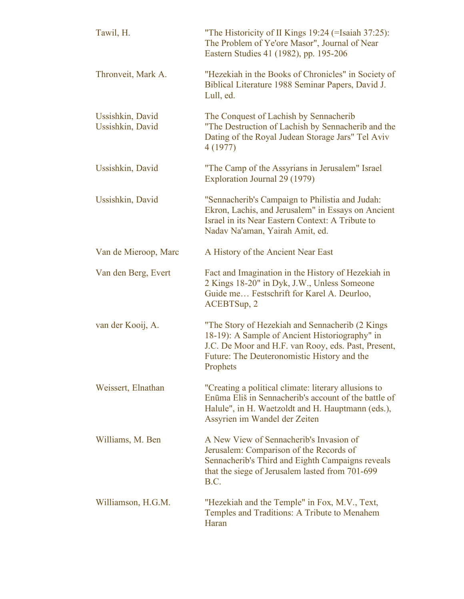| Tawil, H.                            | "The Historicity of II Kings 19:24 (=Isaiah 37:25):<br>The Problem of Ye'ore Masor", Journal of Near<br>Eastern Studies 41 (1982), pp. 195-206                                                                       |
|--------------------------------------|----------------------------------------------------------------------------------------------------------------------------------------------------------------------------------------------------------------------|
| Thronveit, Mark A.                   | "Hezekiah in the Books of Chronicles" in Society of<br>Biblical Literature 1988 Seminar Papers, David J.<br>Lull, ed.                                                                                                |
| Ussishkin, David<br>Ussishkin, David | The Conquest of Lachish by Sennacherib<br>"The Destruction of Lachish by Sennacherib and the<br>Dating of the Royal Judean Storage Jars" Tel Aviv<br>4 (1977)                                                        |
| Ussishkin, David                     | "The Camp of the Assyrians in Jerusalem" Israel<br>Exploration Journal 29 (1979)                                                                                                                                     |
| Ussishkin, David                     | "Sennacherib's Campaign to Philistia and Judah:<br>Ekron, Lachis, and Jerusalem" in Essays on Ancient<br>Israel in its Near Eastern Context: A Tribute to<br>Nadav Na'aman, Yairah Amit, ed.                         |
| Van de Mieroop, Marc                 | A History of the Ancient Near East                                                                                                                                                                                   |
| Van den Berg, Evert                  | Fact and Imagination in the History of Hezekiah in<br>2 Kings 18-20" in Dyk, J.W., Unless Someone<br>Guide me Festschrift for Karel A. Deurloo,<br>ACEBTSup, 2                                                       |
| van der Kooij, A.                    | "The Story of Hezekiah and Sennacherib (2 Kings)<br>18-19): A Sample of Ancient Historiography" in<br>J.C. De Moor and H.F. van Rooy, eds. Past, Present,<br>Future: The Deuteronomistic History and the<br>Prophets |
| Weissert, Elnathan                   | "Creating a political climate: literary allusions to<br>Enūma Eliš in Sennacherib's account of the battle of<br>Halule", in H. Waetzoldt and H. Hauptmann (eds.),<br>Assyrien im Wandel der Zeiten                   |
| Williams, M. Ben                     | A New View of Sennacherib's Invasion of<br>Jerusalem: Comparison of the Records of<br>Sennacherib's Third and Eighth Campaigns reveals<br>that the siege of Jerusalem lasted from 701-699<br>B.C.                    |
| Williamson, H.G.M.                   | "Hezekiah and the Temple" in Fox, M.V., Text,<br>Temples and Traditions: A Tribute to Menahem<br>Haran                                                                                                               |